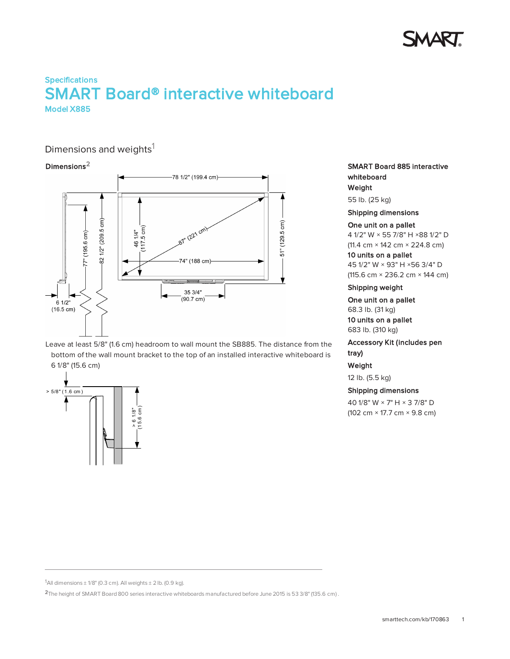

# **Specifications** SMART Board® interactive whiteboard Model X885

# Dimensions and weights<sup>1</sup>

### Dimensions2



Leave at least 5/8" (1.6 cm) headroom to wall mount the SB885. The distance from the bottom of the wall mount bracket to the top of an installed interactive whiteboard is 6 1/8" (15.6 cm)



SMART Board 885 interactive whiteboard Weight

55 lb. (25 kg)

Shipping dimensions

#### One unit on a pallet

 1/2" W × 55 7/8" H ×88 1/2" D (11.4 cm × 142 cm × 224.8 cm) units on a pallet 1/2" W × 93" H ×56 3/4" D

(115.6 cm × 236.2 cm × 144 cm)

### Shipping weight

One unit on a pallet 68.3 lb. (31 kg) 10 units on a pallet 683 lb. (310 kg)

## Accessory Kit (includes pen tray)

### Weight

12 lb. (5.5 kg)

### Shipping dimensions

40 1/8" W × 7" H × 3 7/8" D (102 cm × 17.7 cm × 9.8 cm)

<sup>&</sup>lt;sup>1</sup>All dimensions  $\pm$  1/8" (0.3 cm). All weights  $\pm$  2 lb. (0.9 kg).

<sup>2</sup>The height of SMART Board 800 series interactive whiteboards manufactured before June 2015 is 53 3/8" (135.6 cm) .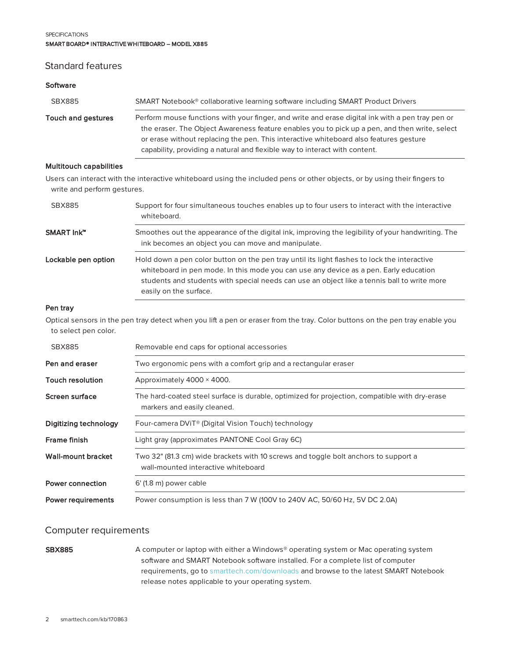#### **SPECIFICATIONS** SMART BOARD® INTERACTIVE WHITEBOARD – MODEL X885

# Standard features

# **Software** SBX885 SMART Notebook® collaborative learning software including SMART Product Drivers Touch and gestures Perform mouse functions with your finger, and write and erase digital ink with a pen tray pen or the eraser. The Object Awareness feature enables you to pick up a pen, and then write, select or erase without replacing the pen. This interactive whiteboard also features gesture capability, providing a natural and flexible way to interact with content.

### Multitouch capabilities

Users can interact with the interactive whiteboard using the included pens or other objects, or by using their fingers to write and perform gestures.

| SBX885              | Support for four simultaneous touches enables up to four users to interact with the interactive<br>whiteboard.                                                                                                                                                                                                 |
|---------------------|----------------------------------------------------------------------------------------------------------------------------------------------------------------------------------------------------------------------------------------------------------------------------------------------------------------|
| SMART Ink™          | Smoothes out the appearance of the digital ink, improving the legibility of your handwriting. The<br>ink becomes an object you can move and manipulate.                                                                                                                                                        |
| Lockable pen option | Hold down a pen color button on the pen tray until its light flashes to lock the interactive<br>whiteboard in pen mode. In this mode you can use any device as a pen. Early education<br>students and students with special needs can use an object like a tennis ball to write more<br>easily on the surface. |

### Pen tray

Optical sensors in the pen tray detect when you lift a pen or eraser from the tray. Color buttons on the pen tray enable you to select pen color.

| <b>SBX885</b>             | Removable end caps for optional accessories                                                                                  |
|---------------------------|------------------------------------------------------------------------------------------------------------------------------|
| Pen and eraser            | Two ergonomic pens with a comfort grip and a rectangular eraser                                                              |
| <b>Touch resolution</b>   | Approximately 4000 × 4000.                                                                                                   |
| Screen surface            | The hard-coated steel surface is durable, optimized for projection, compatible with dry-erase<br>markers and easily cleaned. |
| Digitizing technology     | Four-camera DVIT <sup>®</sup> (Digital Vision Touch) technology                                                              |
| Frame finish              | Light gray (approximates PANTONE Cool Gray 6C)                                                                               |
| Wall-mount bracket        | Two 32" (81.3 cm) wide brackets with 10 screws and toggle bolt anchors to support a<br>wall-mounted interactive whiteboard   |
| Power connection          | $6'$ (1.8 m) power cable                                                                                                     |
| <b>Power requirements</b> | Power consumption is less than 7 W (100V to 240V AC, 50/60 Hz, 5V DC 2.0A)                                                   |

## Computer requirements

SBX885 A computer or laptop with either a Windows® operating system or Mac operating system software and SMART Notebook software installed. For a complete list of computer requirements, go to [smarttech.com/downloads](http://www.smarttech.com/downloads) and browse to the latest SMART Notebook release notes applicable to your operating system.